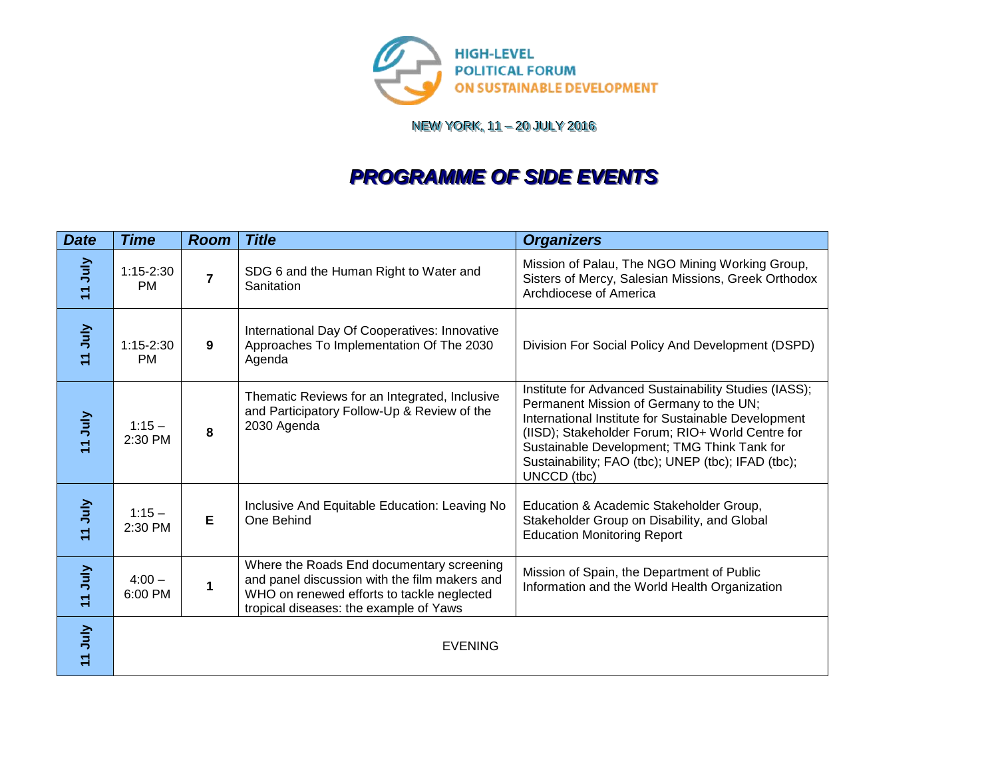

NEW YORK, 11 – 20 JULY 2016

## *PROGRAMME OF SIDE EVENTS*

| <b>Date</b>        | <b>Time</b>                | <b>Room</b>    | <b>Title</b>                                                                                                                                                                       | <b>Organizers</b>                                                                                                                                                                                                                                                                                                               |
|--------------------|----------------------------|----------------|------------------------------------------------------------------------------------------------------------------------------------------------------------------------------------|---------------------------------------------------------------------------------------------------------------------------------------------------------------------------------------------------------------------------------------------------------------------------------------------------------------------------------|
| VInn <sub>11</sub> | $1:15 - 2:30$<br><b>PM</b> | $\overline{7}$ | SDG 6 and the Human Right to Water and<br>Sanitation                                                                                                                               | Mission of Palau, The NGO Mining Working Group,<br>Sisters of Mercy, Salesian Missions, Greek Orthodox<br>Archdiocese of America                                                                                                                                                                                                |
| <b>VInc LL</b>     | $1:15 - 2:30$<br><b>PM</b> | 9              | International Day Of Cooperatives: Innovative<br>Approaches To Implementation Of The 2030<br>Agenda                                                                                | Division For Social Policy And Development (DSPD)                                                                                                                                                                                                                                                                               |
| VInn <sub>11</sub> | $1:15 -$<br>2:30 PM        | 8              | Thematic Reviews for an Integrated, Inclusive<br>and Participatory Follow-Up & Review of the<br>2030 Agenda                                                                        | Institute for Advanced Sustainability Studies (IASS);<br>Permanent Mission of Germany to the UN;<br>International Institute for Sustainable Development<br>(IISD); Stakeholder Forum; RIO+ World Centre for<br>Sustainable Development; TMG Think Tank for<br>Sustainability; FAO (tbc); UNEP (tbc); IFAD (tbc);<br>UNCCD (tbc) |
| <b>VInn</b> LL     | $1:15 -$<br>2:30 PM        | Е              | Inclusive And Equitable Education: Leaving No<br>One Behind                                                                                                                        | Education & Academic Stakeholder Group,<br>Stakeholder Group on Disability, and Global<br><b>Education Monitoring Report</b>                                                                                                                                                                                                    |
| VING LL            | $4:00 -$<br>6:00 PM        | 1              | Where the Roads End documentary screening<br>and panel discussion with the film makers and<br>WHO on renewed efforts to tackle neglected<br>tropical diseases: the example of Yaws | Mission of Spain, the Department of Public<br>Information and the World Health Organization                                                                                                                                                                                                                                     |
| <b>VInn</b> LL     |                            |                | <b>EVENING</b>                                                                                                                                                                     |                                                                                                                                                                                                                                                                                                                                 |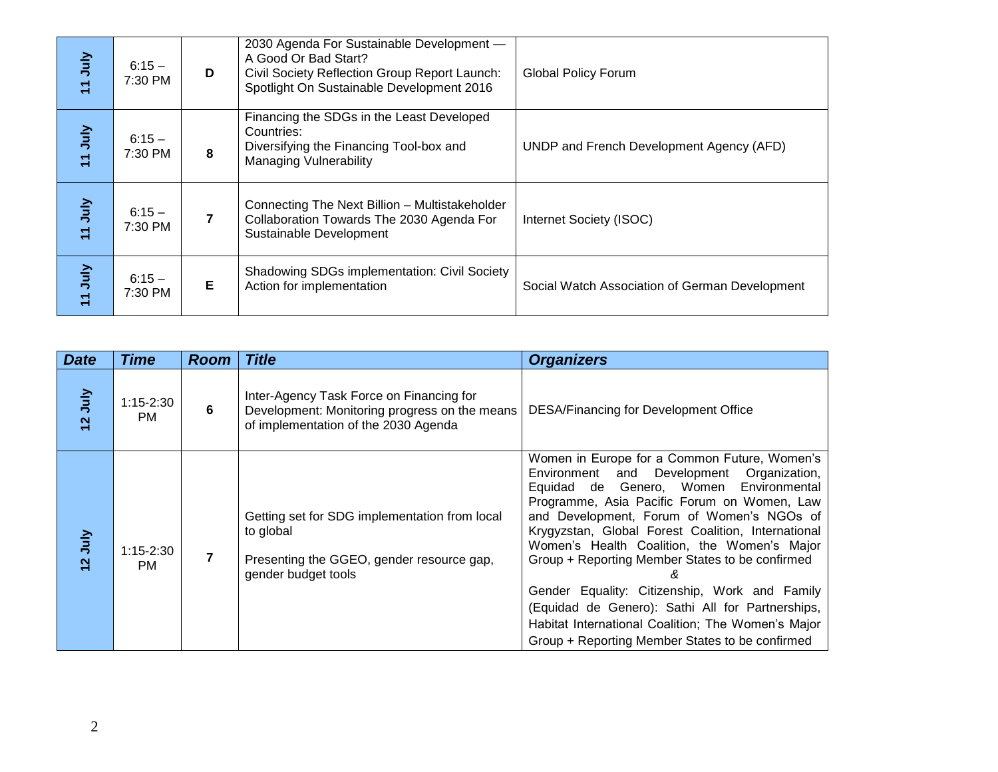| VING PT            | $6:15 -$<br>7:30 PM | D              | 2030 Agenda For Sustainable Development -<br>A Good Or Bad Start?<br>Civil Society Reflection Group Report Launch:<br>Spotlight On Sustainable Development 2016 | <b>Global Policy Forum</b>                     |
|--------------------|---------------------|----------------|-----------------------------------------------------------------------------------------------------------------------------------------------------------------|------------------------------------------------|
| VInn <sub>11</sub> | $6:15 -$<br>7:30 PM | 8              | Financing the SDGs in the Least Developed<br>Countries:<br>Diversifying the Financing Tool-box and<br><b>Managing Vulnerability</b>                             | UNDP and French Development Agency (AFD)       |
| VInt_LL            | $6:15 -$<br>7:30 PM | $\overline{7}$ | Connecting The Next Billion - Multistakeholder<br>Collaboration Towards The 2030 Agenda For<br>Sustainable Development                                          | Internet Society (ISOC)                        |
| VING LL            | $6:15 -$<br>7:30 PM | Е              | <b>Shadowing SDGs implementation: Civil Society</b><br>Action for implementation                                                                                | Social Watch Association of German Development |

| <b>TIJuly</b>  | $6:15 -$<br>7:30 PM        | D              | A Good Or Bad Start?<br>Civil Society Reflection Group Report Launch:<br>Spotlight On Sustainable Development 2016                | <b>Global Policy Forum</b>                                                                                                                                                                                                                                                                                                                                                                                                                                                                                                                                     |
|----------------|----------------------------|----------------|-----------------------------------------------------------------------------------------------------------------------------------|----------------------------------------------------------------------------------------------------------------------------------------------------------------------------------------------------------------------------------------------------------------------------------------------------------------------------------------------------------------------------------------------------------------------------------------------------------------------------------------------------------------------------------------------------------------|
| <b>VInc</b> LL | $6:15 -$<br>7:30 PM        | 8              | Financing the SDGs in the Least Developed<br>Countries:<br>Diversifying the Financing Tool-box and<br>Managing Vulnerability      | UNDP and French Development Agency (AFD)                                                                                                                                                                                                                                                                                                                                                                                                                                                                                                                       |
| <b>VInc</b> LL | $6:15 -$<br>7:30 PM        | $\overline{7}$ | Connecting The Next Billion - Multistakeholder<br>Collaboration Towards The 2030 Agenda For<br>Sustainable Development            | Internet Society (ISOC)                                                                                                                                                                                                                                                                                                                                                                                                                                                                                                                                        |
| <b>VIncht</b>  | $6:15 -$<br>7:30 PM        | E              | Shadowing SDGs implementation: Civil Society<br>Action for implementation                                                         | Social Watch Association of German Development                                                                                                                                                                                                                                                                                                                                                                                                                                                                                                                 |
|                |                            |                |                                                                                                                                   |                                                                                                                                                                                                                                                                                                                                                                                                                                                                                                                                                                |
| <b>Date</b>    | <b>Time</b>                | <b>Room</b>    | <b>Title</b>                                                                                                                      | <b>Organizers</b>                                                                                                                                                                                                                                                                                                                                                                                                                                                                                                                                              |
| 12 July        | $1:15 - 2:30$<br><b>PM</b> | 6              | Inter-Agency Task Force on Financing for<br>Development: Monitoring progress on the means<br>of implementation of the 2030 Agenda | <b>DESA/Financing for Development Office</b>                                                                                                                                                                                                                                                                                                                                                                                                                                                                                                                   |
| 12 July        | $1:15-2:30$<br><b>PM</b>   | $\overline{7}$ | Getting set for SDG implementation from local<br>to global<br>Presenting the GGEO, gender resource gap,<br>gender budget tools    | Women in Europe for a Common Future, Women's<br>Development<br>Environment<br>and<br>Organization,<br>Equidad de Genero, Women<br>Environmental<br>Programme, Asia Pacific Forum on Women, Law<br>and Development, Forum of Women's NGOs of<br>Krygyzstan, Global Forest Coalition, International<br>Women's Health Coalition, the Women's Major<br>Group + Reporting Member States to be confirmed<br>Gender Equality: Citizenship, Work and Family<br>(Equidad de Genero): Sathi All for Partnerships,<br>Habitat International Coalition; The Women's Major |
|                |                            |                |                                                                                                                                   | Group + Reporting Member States to be confirmed                                                                                                                                                                                                                                                                                                                                                                                                                                                                                                                |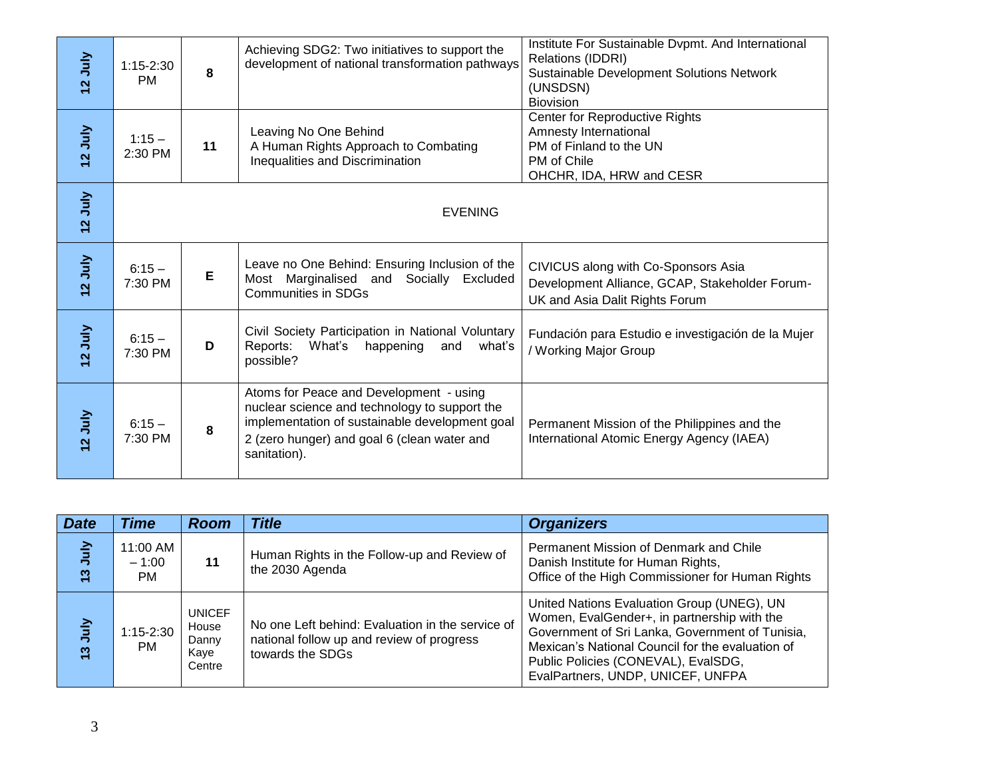| 12 July        | $1:15-2:30$<br><b>PM</b>         | 8                               | Achieving SDG2: Two initiatives to support the<br>development of national transformation pathways                                                                                                         | Institute For Sustainable Dvpmt. And International<br><b>Relations (IDDRI)</b><br>Sustainable Development Solutions Network<br>(UNSDSN)<br><b>Biovision</b>                                      |
|----------------|----------------------------------|---------------------------------|-----------------------------------------------------------------------------------------------------------------------------------------------------------------------------------------------------------|--------------------------------------------------------------------------------------------------------------------------------------------------------------------------------------------------|
| 12 July        | $1:15 -$<br>2:30 PM              | 11                              | Leaving No One Behind<br>A Human Rights Approach to Combating<br>Inequalities and Discrimination                                                                                                          | Center for Reproductive Rights<br>Amnesty International<br>PM of Finland to the UN<br>PM of Chile<br>OHCHR, IDA, HRW and CESR                                                                    |
| 12 July        |                                  |                                 | <b>EVENING</b>                                                                                                                                                                                            |                                                                                                                                                                                                  |
| 12 July        | $6:15 -$<br>7:30 PM              | E                               | Leave no One Behind: Ensuring Inclusion of the<br>Most Marginalised and<br>Socially Excluded<br><b>Communities in SDGs</b>                                                                                | CIVICUS along with Co-Sponsors Asia<br>Development Alliance, GCAP, Stakeholder Forum-<br>UK and Asia Dalit Rights Forum                                                                          |
| 12 July        | $6:15 -$<br>7:30 PM              | D                               | Civil Society Participation in National Voluntary<br>Reports:<br>What's<br>happening<br>and<br>what's<br>possible?                                                                                        | Fundación para Estudio e investigación de la Mujer<br>/ Working Major Group                                                                                                                      |
| 12 July        | $6:15 -$<br>7:30 PM              | 8                               | Atoms for Peace and Development - using<br>nuclear science and technology to support the<br>implementation of sustainable development goal<br>2 (zero hunger) and goal 6 (clean water and<br>sanitation). | Permanent Mission of the Philippines and the<br>International Atomic Energy Agency (IAEA)                                                                                                        |
|                |                                  |                                 |                                                                                                                                                                                                           |                                                                                                                                                                                                  |
| <b>Date</b>    | <b>Time</b>                      | <b>Room</b>                     | <b>Title</b>                                                                                                                                                                                              | <b>Organizers</b>                                                                                                                                                                                |
| <b>VInr St</b> | 11:00 AM<br>$-1:00$<br><b>PM</b> | 11                              | Human Rights in the Follow-up and Review of<br>the 2030 Agenda                                                                                                                                            | Permanent Mission of Denmark and Chile<br>Danish Institute for Human Rights,<br>Office of the High Commissioner for Human Rights                                                                 |
| <b>VInn</b> St | $1:15 - 2:30$                    | <b>UNICEF</b><br>House<br>Danny | No one Left behind: Evaluation in the service of<br>national follow up and review of progress                                                                                                             | United Nations Evaluation Group (UNEG), UN<br>Women, EvalGender+, in partnership with the<br>Government of Sri Lanka, Government of Tunisia,<br>Mexican's National Council for the evaluation of |
|                | <b>PM</b>                        | Kaye<br>Centre                  | towards the SDGs                                                                                                                                                                                          | Public Policies (CONEVAL), EvalSDG,<br>EvalPartners, UNDP, UNICEF, UNFPA                                                                                                                         |

| <b>Date</b> | <b>Time</b>                      | <b>Room</b>                                       | <b>Title</b>                                                                                                      | <b>Organizers</b>                                                                                                                                                                                                                                                            |
|-------------|----------------------------------|---------------------------------------------------|-------------------------------------------------------------------------------------------------------------------|------------------------------------------------------------------------------------------------------------------------------------------------------------------------------------------------------------------------------------------------------------------------------|
| VInc<br>13  | 11:00 AM<br>$-1:00$<br><b>PM</b> | 11                                                | Human Rights in the Follow-up and Review of<br>the 2030 Agenda                                                    | Permanent Mission of Denmark and Chile<br>Danish Institute for Human Rights,<br>Office of the High Commissioner for Human Rights                                                                                                                                             |
| YluL<br>13  | $1:15 - 2:30$<br>PM.             | <b>UNICEF</b><br>House<br>Danny<br>Kaye<br>Centre | No one Left behind: Evaluation in the service of<br>national follow up and review of progress<br>towards the SDGs | United Nations Evaluation Group (UNEG), UN<br>Women, EvalGender+, in partnership with the<br>Government of Sri Lanka, Government of Tunisia,<br>Mexican's National Council for the evaluation of<br>Public Policies (CONEVAL), EvalSDG,<br>EvalPartners, UNDP, UNICEF, UNFPA |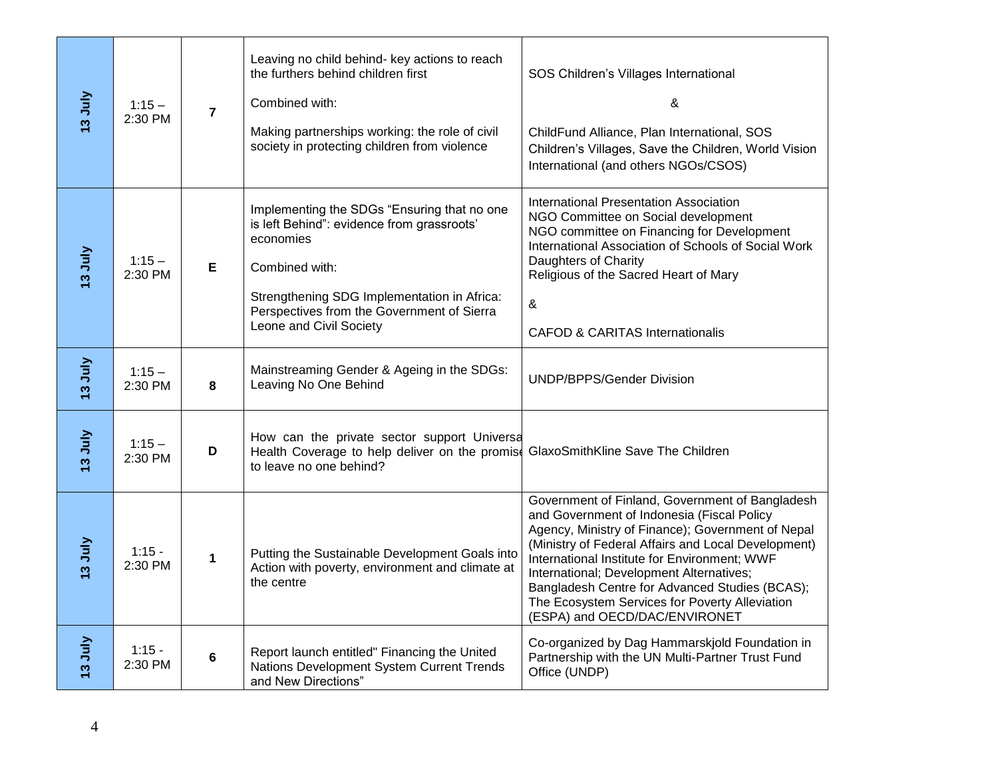| <b>VIncet</b> | $1:15 -$<br>2:30 PM | $\overline{7}$ | Leaving no child behind- key actions to reach<br>the furthers behind children first<br>Combined with:<br>Making partnerships working: the role of civil<br>society in protecting children from violence                                          | SOS Children's Villages International<br>&<br>ChildFund Alliance, Plan International, SOS<br>Children's Villages, Save the Children, World Vision<br>International (and others NGOs/CSOS)                                                                                                                                                                                                                                                  |
|---------------|---------------------|----------------|--------------------------------------------------------------------------------------------------------------------------------------------------------------------------------------------------------------------------------------------------|--------------------------------------------------------------------------------------------------------------------------------------------------------------------------------------------------------------------------------------------------------------------------------------------------------------------------------------------------------------------------------------------------------------------------------------------|
| 13 July       | $1:15 -$<br>2:30 PM | Е              | Implementing the SDGs "Ensuring that no one<br>is left Behind": evidence from grassroots'<br>economies<br>Combined with:<br>Strengthening SDG Implementation in Africa:<br>Perspectives from the Government of Sierra<br>Leone and Civil Society | International Presentation Association<br>NGO Committee on Social development<br>NGO committee on Financing for Development<br>International Association of Schools of Social Work<br>Daughters of Charity<br>Religious of the Sacred Heart of Mary<br>&<br><b>CAFOD &amp; CARITAS Internationalis</b>                                                                                                                                     |
| I3 July       | $1:15 -$<br>2:30 PM | 8              | Mainstreaming Gender & Ageing in the SDGs:<br>Leaving No One Behind                                                                                                                                                                              | <b>UNDP/BPPS/Gender Division</b>                                                                                                                                                                                                                                                                                                                                                                                                           |
| 13 July       | $1:15 -$<br>2:30 PM | D              | How can the private sector support Universa<br>Health Coverage to help deliver on the promise<br>to leave no one behind?                                                                                                                         | GlaxoSmithKline Save The Children                                                                                                                                                                                                                                                                                                                                                                                                          |
| 13 July       | $1:15 -$<br>2:30 PM | $\mathbf 1$    | Putting the Sustainable Development Goals into<br>Action with poverty, environment and climate at<br>the centre                                                                                                                                  | Government of Finland, Government of Bangladesh<br>and Government of Indonesia (Fiscal Policy<br>Agency, Ministry of Finance); Government of Nepal<br>(Ministry of Federal Affairs and Local Development)<br>International Institute for Environment; WWF<br>International; Development Alternatives;<br>Bangladesh Centre for Advanced Studies (BCAS);<br>The Ecosystem Services for Poverty Alleviation<br>(ESPA) and OECD/DAC/ENVIRONET |
| 13 July       | $1:15 -$<br>2:30 PM | $6\phantom{1}$ | Report launch entitled" Financing the United<br>Nations Development System Current Trends<br>and New Directions"                                                                                                                                 | Co-organized by Dag Hammarskjold Foundation in<br>Partnership with the UN Multi-Partner Trust Fund<br>Office (UNDP)                                                                                                                                                                                                                                                                                                                        |
| 4             |                     |                |                                                                                                                                                                                                                                                  |                                                                                                                                                                                                                                                                                                                                                                                                                                            |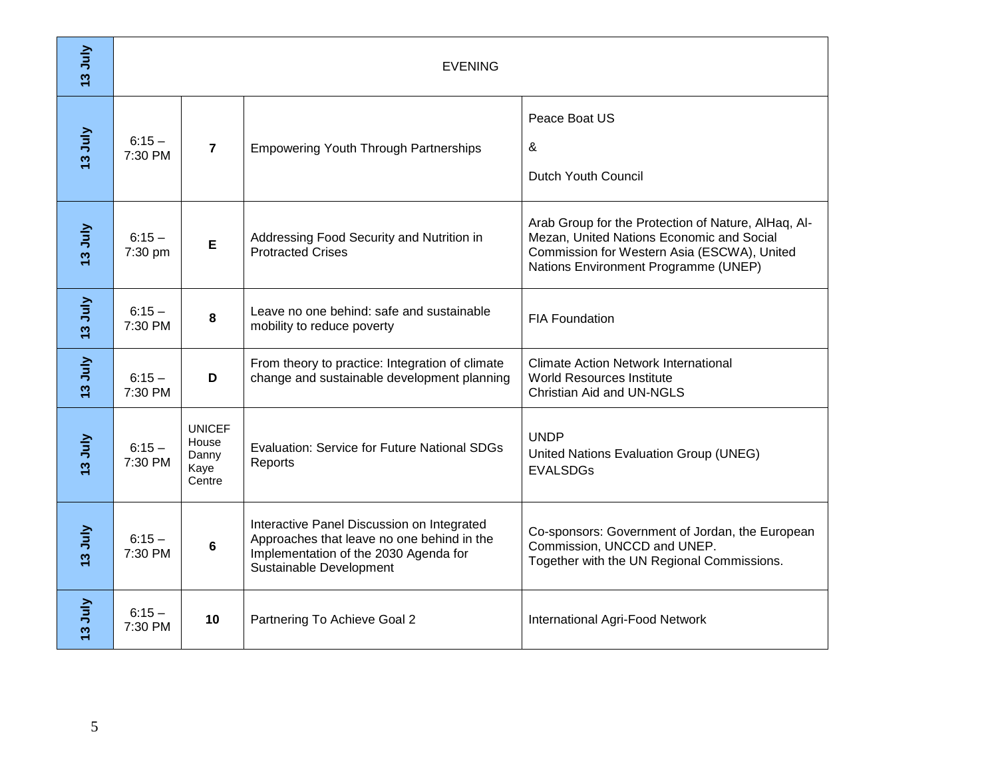| 3 July         |                     | <b>EVENING</b>                                    |                                                                                                                                                              |                                                                                                                                                                                         |  |  |  |
|----------------|---------------------|---------------------------------------------------|--------------------------------------------------------------------------------------------------------------------------------------------------------------|-----------------------------------------------------------------------------------------------------------------------------------------------------------------------------------------|--|--|--|
| <b>Ta July</b> | $6:15 -$<br>7:30 PM | $\overline{7}$                                    | <b>Empowering Youth Through Partnerships</b>                                                                                                                 | Peace Boat US<br>&<br>Dutch Youth Council                                                                                                                                               |  |  |  |
| <b>VIncet</b>  | $6:15 -$<br>7:30 pm | E                                                 | Addressing Food Security and Nutrition in<br><b>Protracted Crises</b>                                                                                        | Arab Group for the Protection of Nature, AlHaq, Al-<br>Mezan, United Nations Economic and Social<br>Commission for Western Asia (ESCWA), United<br>Nations Environment Programme (UNEP) |  |  |  |
| <b>VIncet</b>  | $6:15 -$<br>7:30 PM | 8                                                 | Leave no one behind: safe and sustainable<br>mobility to reduce poverty                                                                                      | <b>FIA Foundation</b>                                                                                                                                                                   |  |  |  |
| <b>VIncet</b>  | $6:15 -$<br>7:30 PM | D                                                 | From theory to practice: Integration of climate<br>change and sustainable development planning                                                               | <b>Climate Action Network International</b><br><b>World Resources Institute</b><br><b>Christian Aid and UN-NGLS</b>                                                                     |  |  |  |
| <b>VIncet</b>  | $6:15 -$<br>7:30 PM | <b>UNICEF</b><br>House<br>Danny<br>Kaye<br>Centre | <b>Evaluation: Service for Future National SDGs</b><br>Reports                                                                                               | <b>UNDP</b><br>United Nations Evaluation Group (UNEG)<br><b>EVALSDGs</b>                                                                                                                |  |  |  |
| 13 July        | $6:15 -$<br>7:30 PM | $6\phantom{1}$                                    | Interactive Panel Discussion on Integrated<br>Approaches that leave no one behind in the<br>Implementation of the 2030 Agenda for<br>Sustainable Development | Co-sponsors: Government of Jordan, the European<br>Commission, UNCCD and UNEP.<br>Together with the UN Regional Commissions.                                                            |  |  |  |
| 13 July        | $6:15 -$<br>7:30 PM | 10                                                | Partnering To Achieve Goal 2                                                                                                                                 | <b>International Agri-Food Network</b>                                                                                                                                                  |  |  |  |
| 5              |                     |                                                   |                                                                                                                                                              |                                                                                                                                                                                         |  |  |  |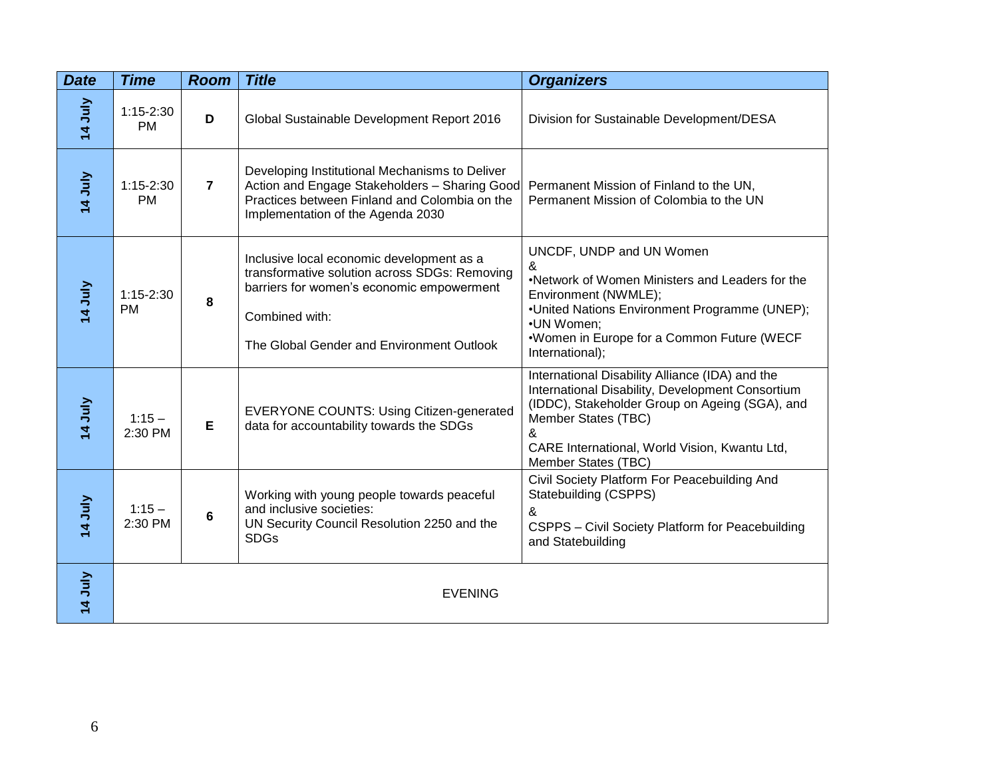| <b>Date</b> | <b>Time</b>                | <b>Room</b>    | <b>Title</b>                                                                                                                                                                                           | <b>Organizers</b>                                                                                                                                                                                                                                         |
|-------------|----------------------------|----------------|--------------------------------------------------------------------------------------------------------------------------------------------------------------------------------------------------------|-----------------------------------------------------------------------------------------------------------------------------------------------------------------------------------------------------------------------------------------------------------|
| 14 July     | $1:15-2:30$<br><b>PM</b>   | D              | Global Sustainable Development Report 2016                                                                                                                                                             | Division for Sustainable Development/DESA                                                                                                                                                                                                                 |
| 14 July     | $1:15 - 2:30$<br><b>PM</b> | $\overline{7}$ | Developing Institutional Mechanisms to Deliver<br>Action and Engage Stakeholders - Sharing Good<br>Practices between Finland and Colombia on the<br>Implementation of the Agenda 2030                  | Permanent Mission of Finland to the UN,<br>Permanent Mission of Colombia to the UN                                                                                                                                                                        |
| 14 July     | $1:15-2:30$<br><b>PM</b>   | 8              | Inclusive local economic development as a<br>transformative solution across SDGs: Removing<br>barriers for women's economic empowerment<br>Combined with:<br>The Global Gender and Environment Outlook | UNCDF, UNDP and UN Women<br>&<br>.Network of Women Ministers and Leaders for the<br>Environment (NWMLE);<br>•United Nations Environment Programme (UNEP);<br>•UN Women:<br>*Women in Europe for a Common Future (WECF<br>International);                  |
| 14 July     | $1:15 -$<br>2:30 PM        | Е              | <b>EVERYONE COUNTS: Using Citizen-generated</b><br>data for accountability towards the SDGs                                                                                                            | International Disability Alliance (IDA) and the<br>International Disability, Development Consortium<br>(IDDC), Stakeholder Group on Ageing (SGA), and<br>Member States (TBC)<br>&<br>CARE International, World Vision, Kwantu Ltd,<br>Member States (TBC) |
| 14 July     | $1:15 -$<br>2:30 PM        | 6              | Working with young people towards peaceful<br>and inclusive societies:<br>UN Security Council Resolution 2250 and the<br><b>SDGs</b>                                                                   | Civil Society Platform For Peacebuilding And<br>Statebuilding (CSPPS)<br>&<br>CSPPS - Civil Society Platform for Peacebuilding<br>and Statebuilding                                                                                                       |
| 14 July     |                            |                | <b>EVENING</b>                                                                                                                                                                                         |                                                                                                                                                                                                                                                           |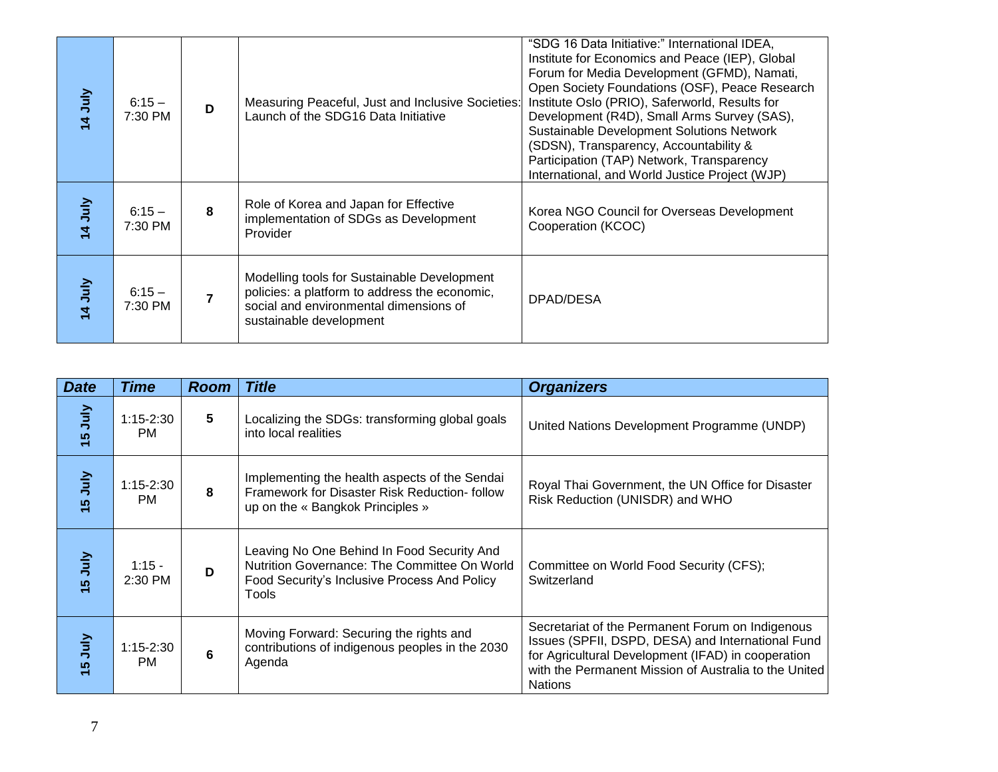| 14 July        | $6:15 -$<br>7:30 PM | D              | Measuring Peaceful, Just and Inclusive Societies:<br>Launch of the SDG16 Data Initiative                                                                          | "SDG 16 Data Initiative:" International IDEA,<br>Institute for Economics and Peace (IEP), Global<br>Forum for Media Development (GFMD), Namati,<br>Open Society Foundations (OSF), Peace Research<br>Institute Oslo (PRIO), Saferworld, Results for<br>Development (R4D), Small Arms Survey (SAS),<br><b>Sustainable Development Solutions Network</b><br>(SDSN), Transparency, Accountability &<br>Participation (TAP) Network, Transparency<br>International, and World Justice Project (WJP) |
|----------------|---------------------|----------------|-------------------------------------------------------------------------------------------------------------------------------------------------------------------|-------------------------------------------------------------------------------------------------------------------------------------------------------------------------------------------------------------------------------------------------------------------------------------------------------------------------------------------------------------------------------------------------------------------------------------------------------------------------------------------------|
| 14 July        | $6:15 -$<br>7:30 PM | 8              | Role of Korea and Japan for Effective<br>implementation of SDGs as Development<br>Provider                                                                        | Korea NGO Council for Overseas Development<br>Cooperation (KCOC)                                                                                                                                                                                                                                                                                                                                                                                                                                |
| <b>14 July</b> | $6:15 -$<br>7:30 PM | $\overline{7}$ | Modelling tools for Sustainable Development<br>policies: a platform to address the economic,<br>social and environmental dimensions of<br>sustainable development | DPAD/DESA                                                                                                                                                                                                                                                                                                                                                                                                                                                                                       |

| 14 July        | $6:15 -$<br>7:30 PM      | D               | Measuring Peaceful, Just and Inclusive Societies:<br>Launch of the SDG16 Data Initiative                                                                          | Open Society Foundations (OSF), Feace Research<br>Institute Oslo (PRIO), Saferworld, Results for<br>Development (R4D), Small Arms Survey (SAS),<br>Sustainable Development Solutions Network<br>(SDSN), Transparency, Accountability &<br>Participation (TAP) Network, Transparency<br>International, and World Justice Project (WJP) |
|----------------|--------------------------|-----------------|-------------------------------------------------------------------------------------------------------------------------------------------------------------------|---------------------------------------------------------------------------------------------------------------------------------------------------------------------------------------------------------------------------------------------------------------------------------------------------------------------------------------|
| 14 July        | $6:15 -$<br>7:30 PM      | 8               | Role of Korea and Japan for Effective<br>implementation of SDGs as Development<br>Provider                                                                        | Korea NGO Council for Overseas Development<br>Cooperation (KCOC)                                                                                                                                                                                                                                                                      |
| 14 July        | $6:15 -$<br>7:30 PM      | $\overline{7}$  | Modelling tools for Sustainable Development<br>policies: a platform to address the economic,<br>social and environmental dimensions of<br>sustainable development | DPAD/DESA                                                                                                                                                                                                                                                                                                                             |
|                |                          |                 |                                                                                                                                                                   |                                                                                                                                                                                                                                                                                                                                       |
| <b>Date</b>    | <b>Time</b>              | <b>Room</b>     | <b>Title</b>                                                                                                                                                      | <b>Organizers</b>                                                                                                                                                                                                                                                                                                                     |
| <b>VInr</b> 51 | 1:15-2:30<br><b>PM</b>   | $5\phantom{.0}$ | Localizing the SDGs: transforming global goals<br>into local realities                                                                                            | United Nations Development Programme (UNDP)                                                                                                                                                                                                                                                                                           |
|                |                          |                 |                                                                                                                                                                   |                                                                                                                                                                                                                                                                                                                                       |
| 15 July        | $1:15-2:30$<br><b>PM</b> | 8               | Implementing the health aspects of the Sendai<br>Framework for Disaster Risk Reduction- follow<br>up on the « Bangkok Principles »                                | Royal Thai Government, the UN Office for Disaster<br>Risk Reduction (UNISDR) and WHO                                                                                                                                                                                                                                                  |
| <b>VInr</b> 5  | $1:15 -$<br>2:30 PM      | D               | Leaving No One Behind In Food Security And<br>Nutrition Governance: The Committee On World<br>Food Security's Inclusive Process And Policy<br>Tools               | Committee on World Food Security (CFS);<br>Switzerland                                                                                                                                                                                                                                                                                |
| <b>VInr</b> 5  | 1:15-2:30<br><b>PM</b>   | 6               | Moving Forward: Securing the rights and<br>contributions of indigenous peoples in the 2030<br>Agenda                                                              | Secretariat of the Permanent Forum on Indigenous<br>Issues (SPFII, DSPD, DESA) and International Fund<br>for Agricultural Development (IFAD) in cooperation<br>with the Permanent Mission of Australia to the United<br><b>Nations</b>                                                                                                |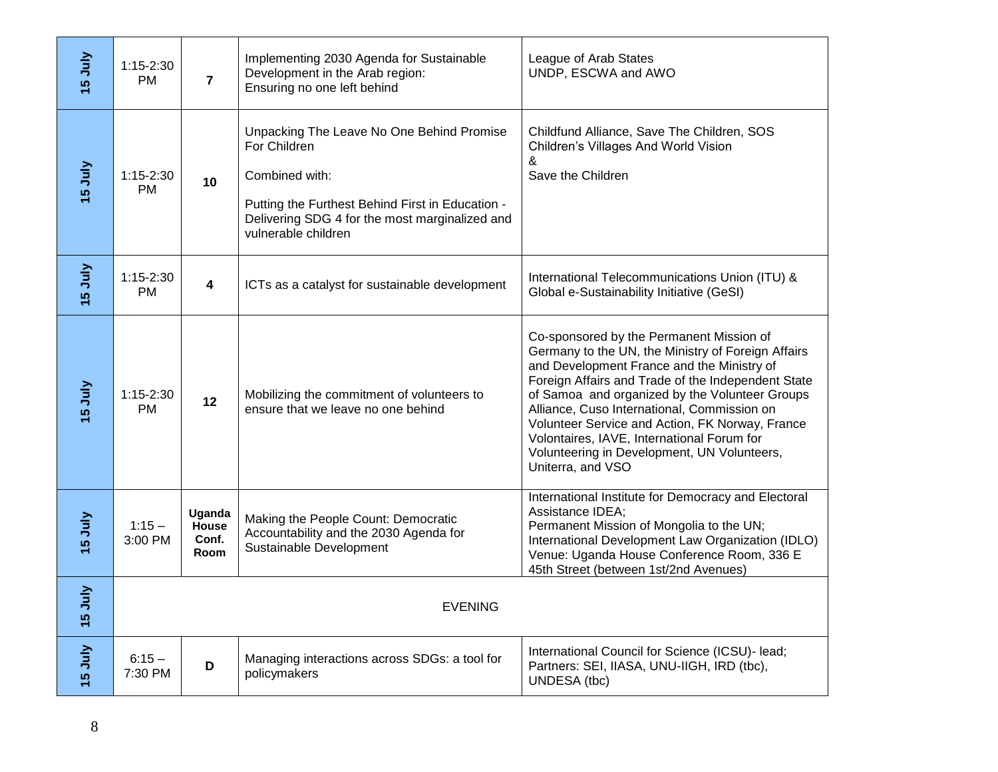| <b>VInr</b> 51                        | $1:15-2:30$<br><b>PM</b> | 7                                | Implementing 2030 Agenda for Sustainable<br>Development in the Arab region:<br>Ensuring no one left behind                                                                                               | League of Arab States<br>UNDP, ESCWA and AWO                                                                                                                                                                                                                                                                                                                                                                                                                             |
|---------------------------------------|--------------------------|----------------------------------|----------------------------------------------------------------------------------------------------------------------------------------------------------------------------------------------------------|--------------------------------------------------------------------------------------------------------------------------------------------------------------------------------------------------------------------------------------------------------------------------------------------------------------------------------------------------------------------------------------------------------------------------------------------------------------------------|
| VInr <sub>91</sub>                    | 1:15-2:30<br><b>PM</b>   | 10 <sup>°</sup>                  | Unpacking The Leave No One Behind Promise<br>For Children<br>Combined with:<br>Putting the Furthest Behind First in Education -<br>Delivering SDG 4 for the most marginalized and<br>vulnerable children | Childfund Alliance, Save The Children, SOS<br>Children's Villages And World Vision<br>&<br>Save the Children                                                                                                                                                                                                                                                                                                                                                             |
| <b>VInr</b> 5                         | $1:15-2:30$<br><b>PM</b> | 4                                | ICTs as a catalyst for sustainable development                                                                                                                                                           | International Telecommunications Union (ITU) &<br>Global e-Sustainability Initiative (GeSI)                                                                                                                                                                                                                                                                                                                                                                              |
| VInc <sub>5</sub>                     | $1:15-2:30$<br><b>PM</b> | 12                               | Mobilizing the commitment of volunteers to<br>ensure that we leave no one behind                                                                                                                         | Co-sponsored by the Permanent Mission of<br>Germany to the UN, the Ministry of Foreign Affairs<br>and Development France and the Ministry of<br>Foreign Affairs and Trade of the Independent State<br>of Samoa and organized by the Volunteer Groups<br>Alliance, Cuso International, Commission on<br>Volunteer Service and Action, FK Norway, France<br>Volontaires, IAVE, International Forum for<br>Volunteering in Development, UN Volunteers,<br>Uniterra, and VSO |
| <b>VInr</b> 51                        | $1:15 -$<br>3:00 PM      | Uganda<br>House<br>Conf.<br>Room | Making the People Count: Democratic<br>Accountability and the 2030 Agenda for<br>Sustainable Development                                                                                                 | International Institute for Democracy and Electoral<br>Assistance IDEA;<br>Permanent Mission of Mongolia to the UN;<br>International Development Law Organization (IDLO)<br>Venue: Uganda House Conference Room, 336 E<br>45th Street (between 1st/2nd Avenues)                                                                                                                                                                                                          |
| $\tilde{\mathsf{H}}$<br>$\frac{6}{1}$ | <b>EVENING</b>           |                                  |                                                                                                                                                                                                          |                                                                                                                                                                                                                                                                                                                                                                                                                                                                          |
| <b>VInr</b> 51                        | $6:15 -$<br>7:30 PM      | D                                | Managing interactions across SDGs: a tool for<br>policymakers                                                                                                                                            | International Council for Science (ICSU)- lead;<br>Partners: SEI, IIASA, UNU-IIGH, IRD (tbc),<br>UNDESA (tbc)                                                                                                                                                                                                                                                                                                                                                            |
| 8                                     |                          |                                  |                                                                                                                                                                                                          |                                                                                                                                                                                                                                                                                                                                                                                                                                                                          |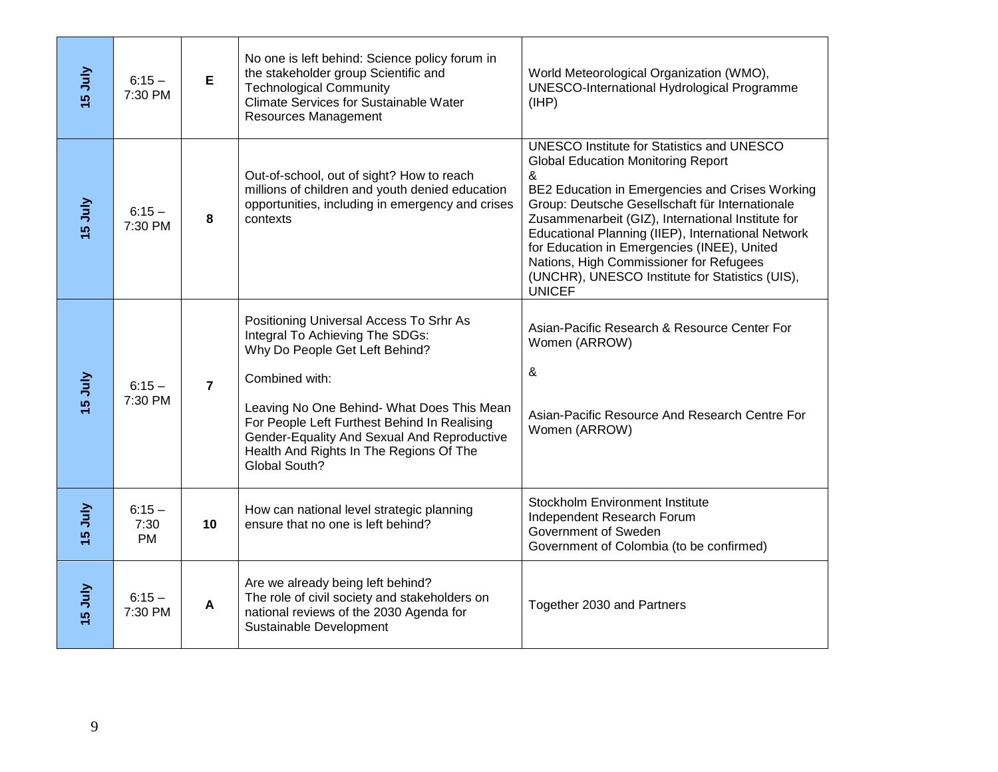| <b>VInr</b> 51               | $6:15 -$<br>7:30 PM           | E              | No one is left behind: Science policy forum in<br>the stakeholder group Scientific and<br><b>Technological Community</b><br><b>Climate Services for Sustainable Water</b><br>Resources Management                                                                                                                                       | World Meteorological Organization (WMO),<br><b>UNESCO-International Hydrological Programme</b><br>(HHP)                                                                                                                                                                                                                                                                                                                                                                            |
|------------------------------|-------------------------------|----------------|-----------------------------------------------------------------------------------------------------------------------------------------------------------------------------------------------------------------------------------------------------------------------------------------------------------------------------------------|------------------------------------------------------------------------------------------------------------------------------------------------------------------------------------------------------------------------------------------------------------------------------------------------------------------------------------------------------------------------------------------------------------------------------------------------------------------------------------|
| <b>VInn</b> 51               | $6:15 -$<br>7:30 PM           | 8              | Out-of-school, out of sight? How to reach<br>millions of children and youth denied education<br>opportunities, including in emergency and crises<br>contexts                                                                                                                                                                            | <b>UNESCO Institute for Statistics and UNESCO</b><br><b>Global Education Monitoring Report</b><br>&<br>BE2 Education in Emergencies and Crises Working<br>Group: Deutsche Gesellschaft für Internationale<br>Zusammenarbeit (GIZ), International Institute for<br>Educational Planning (IIEP), International Network<br>for Education in Emergencies (INEE), United<br>Nations, High Commissioner for Refugees<br>(UNCHR), UNESCO Institute for Statistics (UIS),<br><b>UNICEF</b> |
| <b>VInr</b> 5                | $6:15 -$<br>7:30 PM           | $\overline{7}$ | Positioning Universal Access To Srhr As<br>Integral To Achieving The SDGs:<br>Why Do People Get Left Behind?<br>Combined with:<br>Leaving No One Behind- What Does This Mean<br>For People Left Furthest Behind In Realising<br>Gender-Equality And Sexual And Reproductive<br>Health And Rights In The Regions Of The<br>Global South? | Asian-Pacific Research & Resource Center For<br>Women (ARROW)<br>&<br>Asian-Pacific Resource And Research Centre For<br>Women (ARROW)                                                                                                                                                                                                                                                                                                                                              |
| <b>VInr</b> 51               | $6:15 -$<br>7:30<br><b>PM</b> | 10             | How can national level strategic planning<br>ensure that no one is left behind?                                                                                                                                                                                                                                                         | <b>Stockholm Environment Institute</b><br>Independent Research Forum<br>Government of Sweden<br>Government of Colombia (to be confirmed)                                                                                                                                                                                                                                                                                                                                           |
| <u>V</u> In<br>$\frac{6}{1}$ | $6:15 -$<br>7:30 PM           | A              | Are we already being left behind?<br>The role of civil society and stakeholders on<br>national reviews of the 2030 Agenda for<br>Sustainable Development                                                                                                                                                                                | Together 2030 and Partners                                                                                                                                                                                                                                                                                                                                                                                                                                                         |
| 9                            |                               |                |                                                                                                                                                                                                                                                                                                                                         |                                                                                                                                                                                                                                                                                                                                                                                                                                                                                    |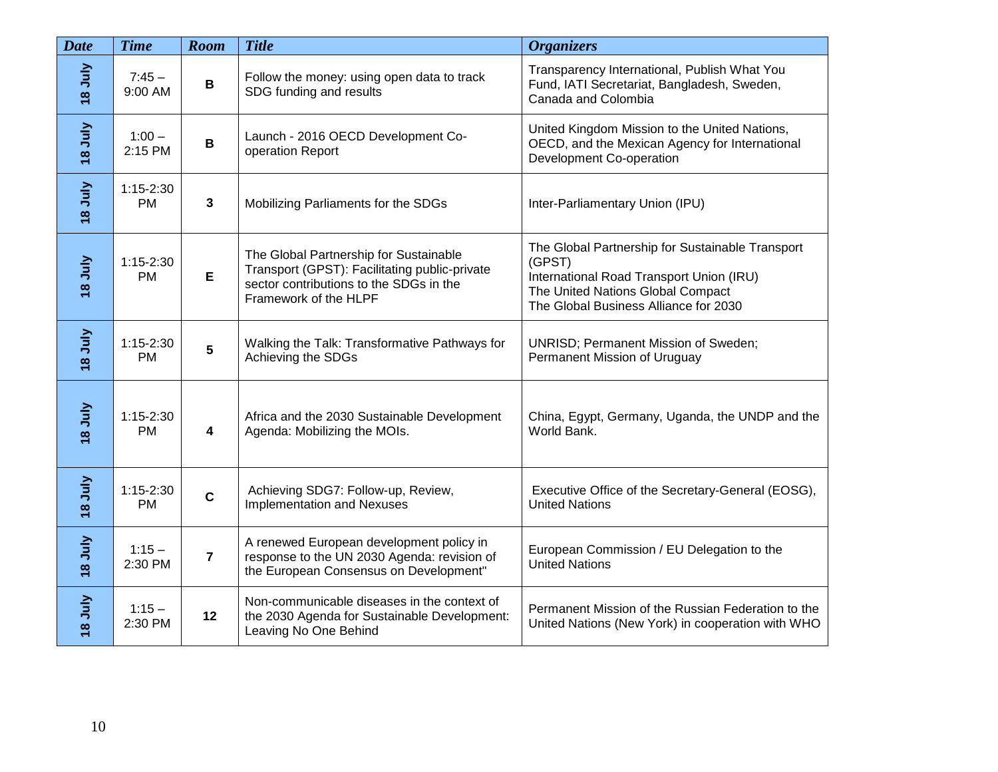| <b>Date</b>        | <b>Time</b>              | Room                    | <b>Title</b>                                                                                                                                                | <b>Organizers</b>                                                                                                                                                                    |
|--------------------|--------------------------|-------------------------|-------------------------------------------------------------------------------------------------------------------------------------------------------------|--------------------------------------------------------------------------------------------------------------------------------------------------------------------------------------|
| <b>Ann</b><br>St   | $7:45-$<br>9:00 AM       | $\mathbf B$             | Follow the money: using open data to track<br>SDG funding and results                                                                                       | Transparency International, Publish What You<br>Fund, IATI Secretariat, Bangladesh, Sweden,<br>Canada and Colombia                                                                   |
| VInr <sub>8</sub>  | $1:00 -$<br>2:15 PM      | $\, {\bf B}$            | Launch - 2016 OECD Development Co-<br>operation Report                                                                                                      | United Kingdom Mission to the United Nations,<br>OECD, and the Mexican Agency for International<br>Development Co-operation                                                          |
| <b>VInr 81</b>     | $1:15-2:30$<br><b>PM</b> | $\mathbf{3}$            | Mobilizing Parliaments for the SDGs                                                                                                                         | Inter-Parliamentary Union (IPU)                                                                                                                                                      |
| <b>VInr</b> 8      | $1:15-2:30$<br><b>PM</b> | E                       | The Global Partnership for Sustainable<br>Transport (GPST): Facilitating public-private<br>sector contributions to the SDGs in the<br>Framework of the HLPF | The Global Partnership for Sustainable Transport<br>(GPST)<br>International Road Transport Union (IRU)<br>The United Nations Global Compact<br>The Global Business Alliance for 2030 |
| <b>VInr</b> 8      | $1:15-2:30$<br><b>PM</b> | $5\phantom{.0}$         | Walking the Talk: Transformative Pathways for<br>Achieving the SDGs                                                                                         | UNRISD; Permanent Mission of Sweden;<br>Permanent Mission of Uruguay                                                                                                                 |
| VInr <sub>81</sub> | $1:15-2:30$<br>PM.       | $\overline{\mathbf{4}}$ | Africa and the 2030 Sustainable Development<br>Agenda: Mobilizing the MOIs.                                                                                 | China, Egypt, Germany, Uganda, the UNDP and the<br>World Bank.                                                                                                                       |
| <b>VInr</b> 8      | $1:15-2:30$<br><b>PM</b> | $\mathbf c$             | Achieving SDG7: Follow-up, Review,<br><b>Implementation and Nexuses</b>                                                                                     | Executive Office of the Secretary-General (EOSG),<br><b>United Nations</b>                                                                                                           |
| <b>Ann</b><br>18   | $1:15 -$<br>2:30 PM      | $\overline{7}$          | A renewed European development policy in<br>response to the UN 2030 Agenda: revision of<br>the European Consensus on Development"                           | European Commission / EU Delegation to the<br><b>United Nations</b>                                                                                                                  |
| <b>VInr</b> 8      | $1:15 -$<br>2:30 PM      | 12                      | Non-communicable diseases in the context of<br>the 2030 Agenda for Sustainable Development:<br>Leaving No One Behind                                        | Permanent Mission of the Russian Federation to the<br>United Nations (New York) in cooperation with WHO                                                                              |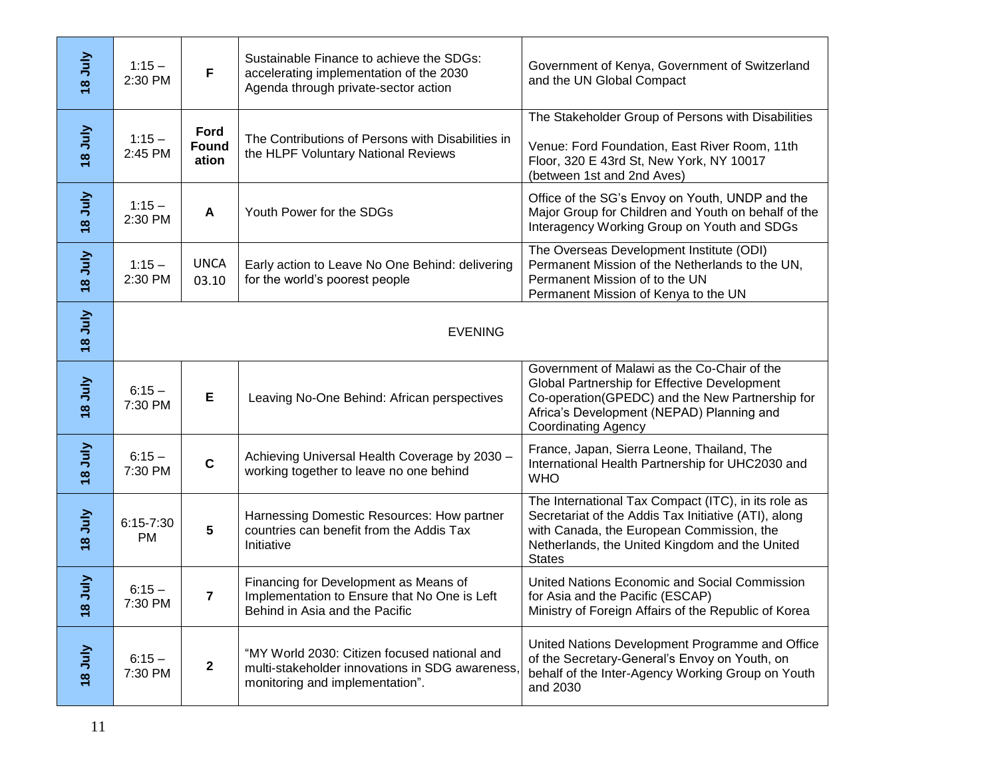| <b>VInr 81</b>        | $1:15 -$<br>2:30 PM        | F                      | Sustainable Finance to achieve the SDGs:<br>accelerating implementation of the 2030<br>Agenda through private-sector action        | Government of Kenya, Government of Switzerland<br>and the UN Global Compact                                                                                                                                                 |
|-----------------------|----------------------------|------------------------|------------------------------------------------------------------------------------------------------------------------------------|-----------------------------------------------------------------------------------------------------------------------------------------------------------------------------------------------------------------------------|
| VInr <sub>8</sub>     | $1:15 -$<br>2:45 PM        | Ford<br>Found<br>ation | The Contributions of Persons with Disabilities in<br>the HLPF Voluntary National Reviews                                           | The Stakeholder Group of Persons with Disabilities<br>Venue: Ford Foundation, East River Room, 11th<br>Floor, 320 E 43rd St, New York, NY 10017<br>(between 1st and 2nd Aves)                                               |
| <b>Ann</b> 8          | $1:15 -$<br>2:30 PM        | A                      | Youth Power for the SDGs                                                                                                           | Office of the SG's Envoy on Youth, UNDP and the<br>Major Group for Children and Youth on behalf of the<br>Interagency Working Group on Youth and SDGs                                                                       |
| <b>Annest</b>         | $1:15 -$<br>2:30 PM        | <b>UNCA</b><br>03.10   | Early action to Leave No One Behind: delivering<br>for the world's poorest people                                                  | The Overseas Development Institute (ODI)<br>Permanent Mission of the Netherlands to the UN,<br>Permanent Mission of to the UN<br>Permanent Mission of Kenya to the UN                                                       |
| <b>VInr 81</b>        | <b>EVENING</b>             |                        |                                                                                                                                    |                                                                                                                                                                                                                             |
| <b>Ann</b> 8          | $6:15 -$<br>7:30 PM        | E                      | Leaving No-One Behind: African perspectives                                                                                        | Government of Malawi as the Co-Chair of the<br>Global Partnership for Effective Development<br>Co-operation(GPEDC) and the New Partnership for<br>Africa's Development (NEPAD) Planning and<br><b>Coordinating Agency</b>   |
| VInr <sub>8</sub>     | $6:15 -$<br>7:30 PM        | $\mathbf c$            | Achieving Universal Health Coverage by 2030 -<br>working together to leave no one behind                                           | France, Japan, Sierra Leone, Thailand, The<br>International Health Partnership for UHC2030 and<br><b>WHO</b>                                                                                                                |
| <b>Ann</b> 8          | $6:15 - 7:30$<br><b>PM</b> | 5                      | Harnessing Domestic Resources: How partner<br>countries can benefit from the Addis Tax<br>Initiative                               | The International Tax Compact (ITC), in its role as<br>Secretariat of the Addis Tax Initiative (ATI), along<br>with Canada, the European Commission, the<br>Netherlands, the United Kingdom and the United<br><b>States</b> |
| July<br>$\frac{8}{3}$ | $6:15 -$<br>7:30 PM        | 7                      | Financing for Development as Means of<br>Implementation to Ensure that No One is Left<br>Behind in Asia and the Pacific            | United Nations Economic and Social Commission<br>for Asia and the Pacific (ESCAP)<br>Ministry of Foreign Affairs of the Republic of Korea                                                                                   |
| <b>VInr 81</b>        | $6:15 -$<br>7:30 PM        | $\mathbf{2}$           | "MY World 2030: Citizen focused national and<br>multi-stakeholder innovations in SDG awareness,<br>monitoring and implementation". | United Nations Development Programme and Office<br>of the Secretary-General's Envoy on Youth, on<br>behalf of the Inter-Agency Working Group on Youth<br>and 2030                                                           |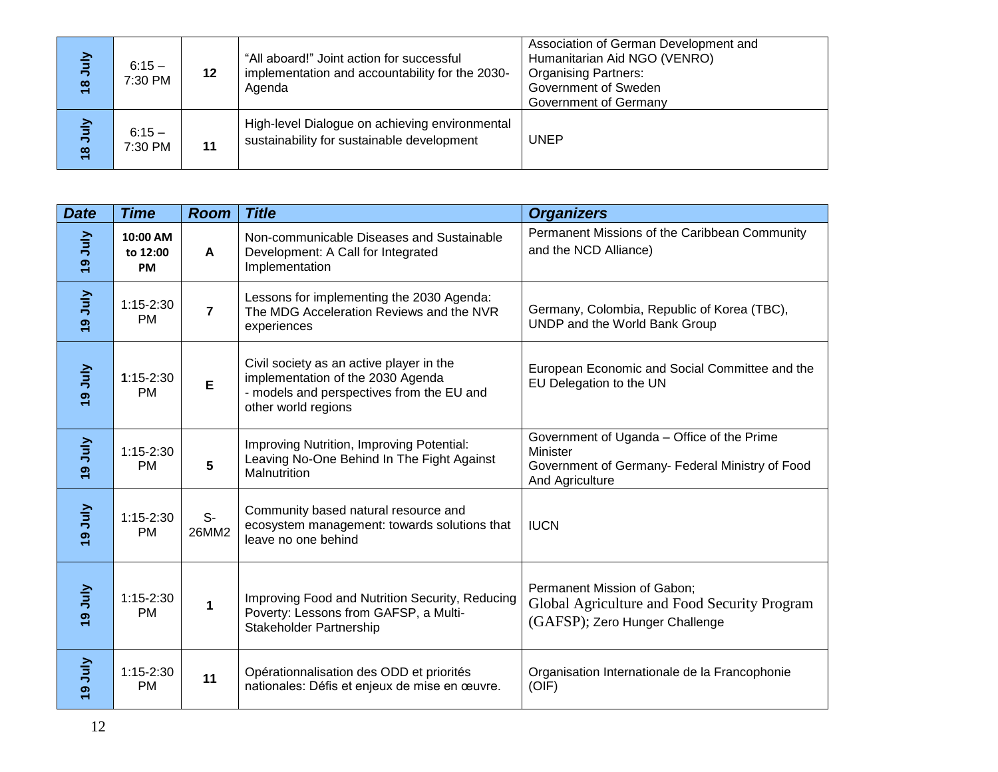| July<br>$\frac{8}{1}$ | $6:15-$<br>7:30 PM | 12 | "All aboard!" Joint action for successful<br>implementation and accountability for the 2030-<br>Agenda | Association of German Development and<br>Humanitarian Aid NGO (VENRO)<br><b>Organising Partners:</b><br>Government of Sweden<br>Government of Germany |
|-----------------------|--------------------|----|--------------------------------------------------------------------------------------------------------|-------------------------------------------------------------------------------------------------------------------------------------------------------|
| July<br>$\frac{8}{1}$ | $6:15-$<br>7:30 PM | 11 | High-level Dialogue on achieving environmental<br>sustainability for sustainable development           | <b>UNEP</b>                                                                                                                                           |

| <b>Date</b>             | <b>Time</b>                | <b>Room</b>    | <b>Title</b>                                                                                                                                      | <b>Organizers</b>                                                                                                            |
|-------------------------|----------------------------|----------------|---------------------------------------------------------------------------------------------------------------------------------------------------|------------------------------------------------------------------------------------------------------------------------------|
| VInn <sub>6</sub>       | 10:00 AM<br>to 12:00<br>PM | A              | Non-communicable Diseases and Sustainable<br>Development: A Call for Integrated<br>Implementation                                                 | Permanent Missions of the Caribbean Community<br>and the NCD Alliance)                                                       |
| <b>Ann</b> 6            | $1:15-2:30$<br><b>PM</b>   | $\overline{7}$ | Lessons for implementing the 2030 Agenda:<br>The MDG Acceleration Reviews and the NVR<br>experiences                                              | Germany, Colombia, Republic of Korea (TBC),<br>UNDP and the World Bank Group                                                 |
| VInn <sub>6</sub>       | $1:15-2:30$<br><b>PM</b>   | E              | Civil society as an active player in the<br>implementation of the 2030 Agenda<br>- models and perspectives from the EU and<br>other world regions | European Economic and Social Committee and the<br>EU Delegation to the UN                                                    |
| VInn <sub>6</sub>       | $1:15-2:30$<br><b>PM</b>   | 5              | Improving Nutrition, Improving Potential:<br>Leaving No-One Behind In The Fight Against<br>Malnutrition                                           | Government of Uganda - Office of the Prime<br>Minister<br>Government of Germany- Federal Ministry of Food<br>And Agriculture |
| <b>Ann</b> <sub>6</sub> | $1:15-2:30$<br><b>PM</b>   | $S-$<br>26MM2  | Community based natural resource and<br>ecosystem management: towards solutions that<br>leave no one behind                                       | <b>IUCN</b>                                                                                                                  |
| <b>VInf</b> 6           | $1:15-2:30$<br><b>PM</b>   | 1              | Improving Food and Nutrition Security, Reducing<br>Poverty: Lessons from GAFSP, a Multi-<br><b>Stakeholder Partnership</b>                        | Permanent Mission of Gabon;<br>Global Agriculture and Food Security Program<br>(GAFSP); Zero Hunger Challenge                |
| VInn <sub>6</sub>       | $1:15 - 2:30$<br><b>PM</b> | 11             | Opérationnalisation des ODD et priorités<br>nationales: Défis et enjeux de mise en œuvre.                                                         | Organisation Internationale de la Francophonie<br>(OIF)                                                                      |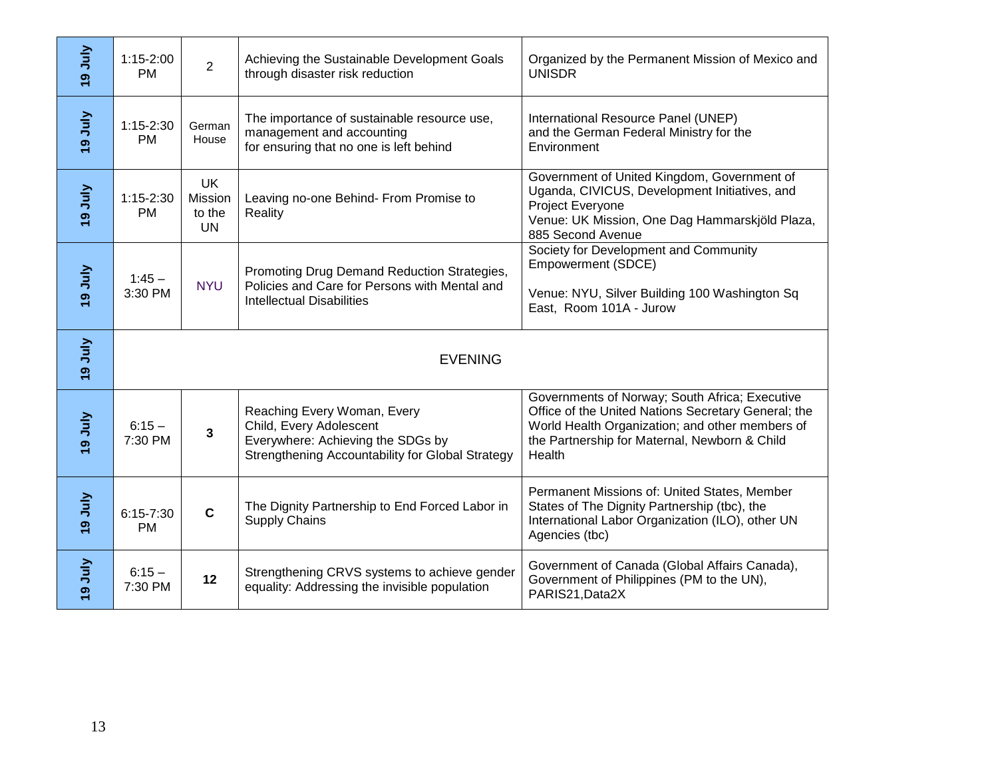| VInn <sub>6</sub> | $1:15-2:00$<br><b>PM</b>   | $\overline{2}$                              | Achieving the Sustainable Development Goals<br>through disaster risk reduction                                                                  | Organized by the Permanent Mission of Mexico and<br><b>UNISDR</b>                                                                                                                                                   |  |
|-------------------|----------------------------|---------------------------------------------|-------------------------------------------------------------------------------------------------------------------------------------------------|---------------------------------------------------------------------------------------------------------------------------------------------------------------------------------------------------------------------|--|
| VInr <sub>6</sub> | $1:15-2:30$<br><b>PM</b>   | German<br>House                             | The importance of sustainable resource use,<br>management and accounting<br>for ensuring that no one is left behind                             | International Resource Panel (UNEP)<br>and the German Federal Ministry for the<br>Environment                                                                                                                       |  |
| VInn <sub>6</sub> | $1:15 - 2:30$<br><b>PM</b> | <b>UK</b><br>Mission<br>to the<br><b>UN</b> | Leaving no-one Behind- From Promise to<br>Reality                                                                                               | Government of United Kingdom, Government of<br>Uganda, CIVICUS, Development Initiatives, and<br>Project Everyone<br>Venue: UK Mission, One Dag Hammarskjöld Plaza,<br>885 Second Avenue                             |  |
| VInn <sub>6</sub> | $1:45 -$<br>3:30 PM        | <b>NYU</b>                                  | Promoting Drug Demand Reduction Strategies,<br>Policies and Care for Persons with Mental and<br><b>Intellectual Disabilities</b>                | Society for Development and Community<br>Empowerment (SDCE)<br>Venue: NYU, Silver Building 100 Washington Sq<br>East, Room 101A - Jurow                                                                             |  |
| <b>Annet</b>      |                            | <b>EVENING</b>                              |                                                                                                                                                 |                                                                                                                                                                                                                     |  |
|                   |                            |                                             |                                                                                                                                                 |                                                                                                                                                                                                                     |  |
| VInn <sub>6</sub> | $6:15 -$<br>7:30 PM        | 3                                           | Reaching Every Woman, Every<br>Child, Every Adolescent<br>Everywhere: Achieving the SDGs by<br>Strengthening Accountability for Global Strategy | Governments of Norway; South Africa; Executive<br>Office of the United Nations Secretary General; the<br>World Health Organization; and other members of<br>the Partnership for Maternal, Newborn & Child<br>Health |  |
| VInn <sub>6</sub> | $6:15 - 7:30$<br><b>PM</b> | $\mathbf C$                                 | The Dignity Partnership to End Forced Labor in<br><b>Supply Chains</b>                                                                          | Permanent Missions of: United States, Member<br>States of The Dignity Partnership (tbc), the<br>International Labor Organization (ILO), other UN<br>Agencies (tbc)                                                  |  |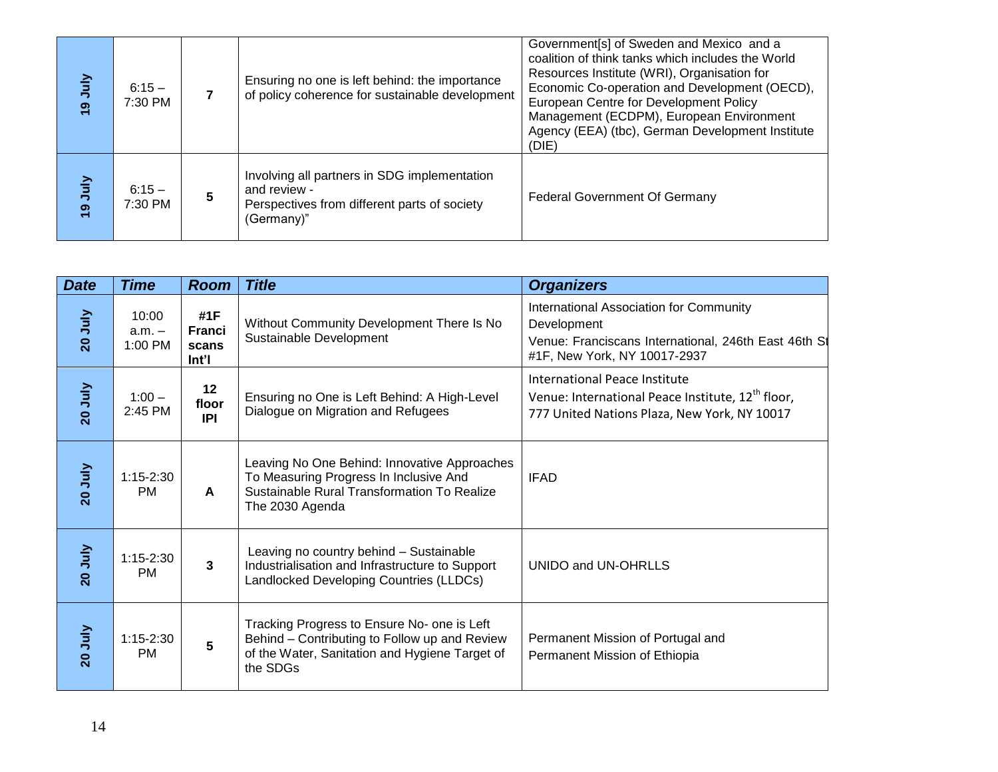| VInn <sub>6</sub> | $6:15 -$<br>7:30 PM |   | Ensuring no one is left behind: the importance<br>of policy coherence for sustainable development                          | Government[s] of Sweden and Mexico and a<br>coalition of think tanks which includes the World<br>Resources Institute (WRI), Organisation for<br>Economic Co-operation and Development (OECD),<br>European Centre for Development Policy<br>Management (ECDPM), European Environment<br>Agency (EEA) (tbc), German Development Institute<br>(DIE) |
|-------------------|---------------------|---|----------------------------------------------------------------------------------------------------------------------------|--------------------------------------------------------------------------------------------------------------------------------------------------------------------------------------------------------------------------------------------------------------------------------------------------------------------------------------------------|
| VInr <sub>6</sub> | $6:15 -$<br>7:30 PM | 5 | Involving all partners in SDG implementation<br>and review -<br>Perspectives from different parts of society<br>(Germany)" | <b>Federal Government Of Germany</b>                                                                                                                                                                                                                                                                                                             |

| <b>Date</b>    | <b>Time</b>                  | <b>Room</b>                                         | <b>Title</b>                                                                                                                                               | <b>Organizers</b>                                                                                                                              |
|----------------|------------------------------|-----------------------------------------------------|------------------------------------------------------------------------------------------------------------------------------------------------------------|------------------------------------------------------------------------------------------------------------------------------------------------|
| 20 July        | 10:00<br>$a.m. -$<br>1:00 PM | #1F<br><b>Franci</b><br>scans<br>$Int$ <sup>'</sup> | Without Community Development There Is No<br>Sustainable Development                                                                                       | International Association for Community<br>Development<br>Venue: Franciscans International, 246th East 46th St<br>#1F, New York, NY 10017-2937 |
| <b>ZO July</b> | $1:00 -$<br>2:45 PM          | $12 \,$<br>floor<br>IPI                             | Ensuring no One is Left Behind: A High-Level<br>Dialogue on Migration and Refugees                                                                         | International Peace Institute<br>Venue: International Peace Institute, 12 <sup>th</sup> floor,<br>777 United Nations Plaza, New York, NY 10017 |
| 20 July        | $1:15-2:30$<br>PM.           | A                                                   | Leaving No One Behind: Innovative Approaches<br>To Measuring Progress In Inclusive And<br>Sustainable Rural Transformation To Realize<br>The 2030 Agenda   | <b>IFAD</b>                                                                                                                                    |
| 20 July        | $1:15 - 2:30$<br><b>PM</b>   | 3                                                   | Leaving no country behind - Sustainable<br>Industrialisation and Infrastructure to Support<br>Landlocked Developing Countries (LLDCs)                      | UNIDO and UN-OHRLLS                                                                                                                            |
| 20 July        | $1:15-2:30$<br><b>PM</b>     | 5                                                   | Tracking Progress to Ensure No- one is Left<br>Behind - Contributing to Follow up and Review<br>of the Water, Sanitation and Hygiene Target of<br>the SDGs | Permanent Mission of Portugal and<br>Permanent Mission of Ethiopia                                                                             |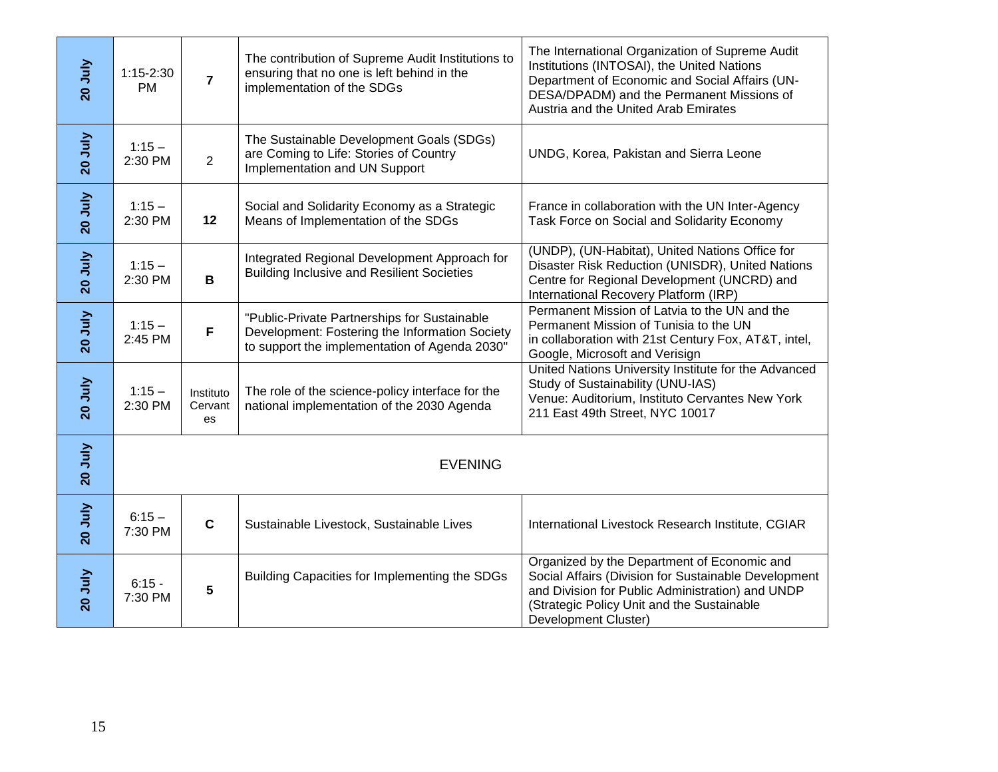| 20 July        | $1:15-2:30$<br><b>PM</b> | $\overline{7}$             | The contribution of Supreme Audit Institutions to<br>ensuring that no one is left behind in the<br>implementation of the SDGs                   | The International Organization of Supreme Audit<br>Institutions (INTOSAI), the United Nations<br>Department of Economic and Social Affairs (UN-<br>DESA/DPADM) and the Permanent Missions of<br>Austria and the United Arab Emirates |
|----------------|--------------------------|----------------------------|-------------------------------------------------------------------------------------------------------------------------------------------------|--------------------------------------------------------------------------------------------------------------------------------------------------------------------------------------------------------------------------------------|
| 20 July        | $1:15 -$<br>2:30 PM      | $\overline{2}$             | The Sustainable Development Goals (SDGs)<br>are Coming to Life: Stories of Country<br>Implementation and UN Support                             | UNDG, Korea, Pakistan and Sierra Leone                                                                                                                                                                                               |
| 20 July        | $1:15 -$<br>2:30 PM      | 12                         | Social and Solidarity Economy as a Strategic<br>Means of Implementation of the SDGs                                                             | France in collaboration with the UN Inter-Agency<br>Task Force on Social and Solidarity Economy                                                                                                                                      |
| 20 July        | $1:15 -$<br>2:30 PM      | B                          | Integrated Regional Development Approach for<br><b>Building Inclusive and Resilient Societies</b>                                               | (UNDP), (UN-Habitat), United Nations Office for<br>Disaster Risk Reduction (UNISDR), United Nations<br>Centre for Regional Development (UNCRD) and<br>International Recovery Platform (IRP)                                          |
| 20 July        | $1:15 -$<br>2:45 PM      | F                          | "Public-Private Partnerships for Sustainable<br>Development: Fostering the Information Society<br>to support the implementation of Agenda 2030" | Permanent Mission of Latvia to the UN and the<br>Permanent Mission of Tunisia to the UN<br>in collaboration with 21st Century Fox, AT&T, intel,<br>Google, Microsoft and Verisign                                                    |
| 20 July        | $1:15 -$<br>2:30 PM      | Instituto<br>Cervant<br>es | The role of the science-policy interface for the<br>national implementation of the 2030 Agenda                                                  | United Nations University Institute for the Advanced<br>Study of Sustainability (UNU-IAS)<br>Venue: Auditorium, Instituto Cervantes New York<br>211 East 49th Street, NYC 10017                                                      |
| <b>ZD July</b> | <b>EVENING</b>           |                            |                                                                                                                                                 |                                                                                                                                                                                                                                      |
| 20 July        | $6:15 -$<br>7:30 PM      | $\mathbf C$                | Sustainable Livestock, Sustainable Lives                                                                                                        | International Livestock Research Institute, CGIAR                                                                                                                                                                                    |
| 20 July        | $6:15 -$<br>7:30 PM      | 5                          | Building Capacities for Implementing the SDGs                                                                                                   | Organized by the Department of Economic and<br>Social Affairs (Division for Sustainable Development<br>and Division for Public Administration) and UNDP<br>(Strategic Policy Unit and the Sustainable<br>Development Cluster)        |